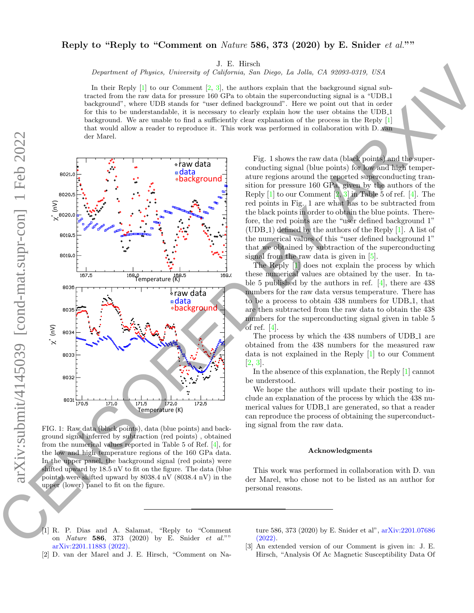## Reply to "Reply to "Comment on Nature 586, 373 (2020) by E. Snider et al.""

J. E. Hirsch

Department of Physics, University of California, San Diego, La Jolla, CA 92093-0319, USA

In their Reply  $[1]$  to our Comment  $[2, 3]$  $[2, 3]$ , the authors explain that the background signal subtracted from the raw data for pressure 160 GPa to obtain the superconducting signal is a "UDB 1 background", where UDB stands for "user defined background". Here we point out that in order for this to be understandable, it is necessary to clearly explain how the user obtains the UDB 1 background. We are unable to find a sufficiently clear explanation of the process in the Reply  $[1]$ that would allow a reader to reproduce it. This work was performed in collaboration with D. van der Marel.



FIG. 1: Raw data (black points), data (blue points) and background signal inferred by subtraction (red points) , obtained from the numerical values reported in Table 5 of Ref. [\[4\]](#page-1-0), for the low and high temperature regions of the 160 GPa data. In the upper panel, the background signal (red points) were shifted upward by 18.5 nV to fit on the figure. The data (blue points) were shifted upward by 8038.4 nV (8038.4 nV) in the upper (lower) panel to fit on the figure.

Fig. 1 shows the raw data (black points) and the superconducting signal (blue points) for low and high temperature regions around the reported superconducting transition for pressure 160 GPa, given by the authors of the Reply  $[1]$  to our Comment  $[2,3]$  $[2,3]$  in Table 5 of ref.  $[4]$ . The red points in Fig. 1 are what has to be subtracted from the black points in order to obtain the blue points. Therefore, the red points are the "user defined background 1" (UDB $\perp$ ) defined by the authors of the Reply [\[1\]](#page-0-0). A list of the numerical values of this "user defined background 1" that we obtained by subtraction of the superconducting signal from the raw data is given in [\[5\]](#page-1-1).

The Reply [\[1\]](#page-0-0) does not explain the process by which these numerical values are obtained by the user. In table 5 published by the authors in ref. [4], there are 438 numbers for the raw data versus temperature. There has to be a process to obtain 438 numbers for UDB 1, that are then subtracted from the raw data to obtain the 438 numbers for the superconducting signal given in table 5 of ref. [\[4\]](#page-1-0).

The process by which the 438 numbers of UDB 1 are obtained from the 438 numbers for the measured raw data is not explained in the Reply [\[1\]](#page-0-0) to our Comment [\[2,](#page-0-1) 3].

In the absence of this explanation, the Reply [\[1\]](#page-0-0) cannot be understood.

We hope the authors will update their posting to include an explanation of the process by which the 438 numerical values for UDB 1 are generated, so that a reader can reproduce the process of obtaining the superconducting signal from the raw data.

## Acknowledgments

This work was performed in collaboration with D. van der Marel, who chose not to be listed as an author for personal reasons.

<span id="page-0-0"></span>[1] R. P. Dias and A. Salamat, "Reply to "Comment on Nature 586, 373 (2020) by E. Snider et al."" [arXiv:2201.11883 \(2022\).](https://arxiv.org/abs/2201.11883)

ture 586, 373 (2020) by E. Snider et al", arXiv:2201.07686 (2022).

- <span id="page-0-1"></span>[2] D. van der Marel and J. E. Hirsch, "Comment on Na-
- <span id="page-0-2"></span>[3] An extended version of our Comment is given in: J. E. Hirsch, "Analysis Of Ac Magnetic Susceptibility Data Of